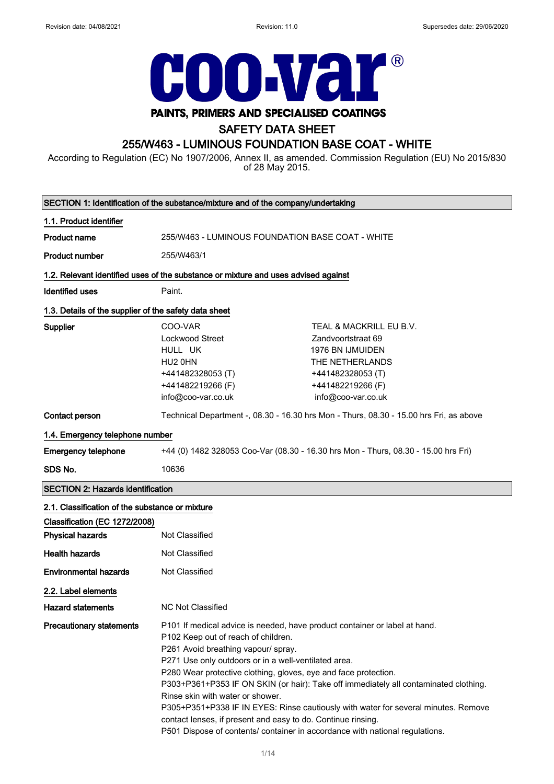

## SAFETY DATA SHEET

## 255/W463 - LUMINOUS FOUNDATION BASE COAT - WHITE

According to Regulation (EC) No 1907/2006, Annex II, as amended. Commission Regulation (EU) No 2015/830 of 28 May 2015.

| SECTION 1: Identification of the substance/mixture and of the company/undertaking |                                                                                                                                                                                                                                                                                                                                                                                                                                                                                                                                                                                                                                                       |                                                                                                                                                      |  |  |
|-----------------------------------------------------------------------------------|-------------------------------------------------------------------------------------------------------------------------------------------------------------------------------------------------------------------------------------------------------------------------------------------------------------------------------------------------------------------------------------------------------------------------------------------------------------------------------------------------------------------------------------------------------------------------------------------------------------------------------------------------------|------------------------------------------------------------------------------------------------------------------------------------------------------|--|--|
| 1.1. Product identifier                                                           |                                                                                                                                                                                                                                                                                                                                                                                                                                                                                                                                                                                                                                                       |                                                                                                                                                      |  |  |
| <b>Product name</b>                                                               | 255/W463 - LUMINOUS FOUNDATION BASE COAT - WHITE                                                                                                                                                                                                                                                                                                                                                                                                                                                                                                                                                                                                      |                                                                                                                                                      |  |  |
| <b>Product number</b>                                                             | 255/W463/1                                                                                                                                                                                                                                                                                                                                                                                                                                                                                                                                                                                                                                            |                                                                                                                                                      |  |  |
|                                                                                   | 1.2. Relevant identified uses of the substance or mixture and uses advised against                                                                                                                                                                                                                                                                                                                                                                                                                                                                                                                                                                    |                                                                                                                                                      |  |  |
| <b>Identified uses</b>                                                            | Paint.                                                                                                                                                                                                                                                                                                                                                                                                                                                                                                                                                                                                                                                |                                                                                                                                                      |  |  |
|                                                                                   | 1.3. Details of the supplier of the safety data sheet                                                                                                                                                                                                                                                                                                                                                                                                                                                                                                                                                                                                 |                                                                                                                                                      |  |  |
| Supplier                                                                          | COO-VAR<br>Lockwood Street<br>HULL UK<br>HU2 0HN<br>+441482328053 (T)<br>+441482219266 (F)<br>info@coo-var.co.uk                                                                                                                                                                                                                                                                                                                                                                                                                                                                                                                                      | TEAL & MACKRILL EU B.V.<br>Zandvoortstraat 69<br>1976 BN IJMUIDEN<br>THE NETHERLANDS<br>+441482328053 (T)<br>+441482219266 (F)<br>info@coo-var.co.uk |  |  |
| Contact person                                                                    | Technical Department -, 08.30 - 16.30 hrs Mon - Thurs, 08.30 - 15.00 hrs Fri, as above                                                                                                                                                                                                                                                                                                                                                                                                                                                                                                                                                                |                                                                                                                                                      |  |  |
| 1.4. Emergency telephone number                                                   |                                                                                                                                                                                                                                                                                                                                                                                                                                                                                                                                                                                                                                                       |                                                                                                                                                      |  |  |
| <b>Emergency telephone</b>                                                        | +44 (0) 1482 328053 Coo-Var (08.30 - 16.30 hrs Mon - Thurs, 08.30 - 15.00 hrs Fri)                                                                                                                                                                                                                                                                                                                                                                                                                                                                                                                                                                    |                                                                                                                                                      |  |  |
| SDS No.                                                                           | 10636                                                                                                                                                                                                                                                                                                                                                                                                                                                                                                                                                                                                                                                 |                                                                                                                                                      |  |  |
| <b>SECTION 2: Hazards identification</b>                                          |                                                                                                                                                                                                                                                                                                                                                                                                                                                                                                                                                                                                                                                       |                                                                                                                                                      |  |  |
| 2.1. Classification of the substance or mixture                                   |                                                                                                                                                                                                                                                                                                                                                                                                                                                                                                                                                                                                                                                       |                                                                                                                                                      |  |  |
| Classification (EC 1272/2008)                                                     |                                                                                                                                                                                                                                                                                                                                                                                                                                                                                                                                                                                                                                                       |                                                                                                                                                      |  |  |
| <b>Physical hazards</b>                                                           | Not Classified                                                                                                                                                                                                                                                                                                                                                                                                                                                                                                                                                                                                                                        |                                                                                                                                                      |  |  |
| <b>Health hazards</b>                                                             | Not Classified                                                                                                                                                                                                                                                                                                                                                                                                                                                                                                                                                                                                                                        |                                                                                                                                                      |  |  |
| <b>Environmental hazards</b>                                                      | Not Classified                                                                                                                                                                                                                                                                                                                                                                                                                                                                                                                                                                                                                                        |                                                                                                                                                      |  |  |
| 2.2. Label elements                                                               |                                                                                                                                                                                                                                                                                                                                                                                                                                                                                                                                                                                                                                                       |                                                                                                                                                      |  |  |
| <b>Hazard statements</b>                                                          | <b>NC Not Classified</b>                                                                                                                                                                                                                                                                                                                                                                                                                                                                                                                                                                                                                              |                                                                                                                                                      |  |  |
| <b>Precautionary statements</b>                                                   | P101 If medical advice is needed, have product container or label at hand.<br>P102 Keep out of reach of children.<br>P261 Avoid breathing vapour/ spray.<br>P271 Use only outdoors or in a well-ventilated area.<br>P280 Wear protective clothing, gloves, eye and face protection.<br>P303+P361+P353 IF ON SKIN (or hair): Take off immediately all contaminated clothing.<br>Rinse skin with water or shower.<br>P305+P351+P338 IF IN EYES: Rinse cautiously with water for several minutes. Remove<br>contact lenses, if present and easy to do. Continue rinsing.<br>P501 Dispose of contents/ container in accordance with national regulations. |                                                                                                                                                      |  |  |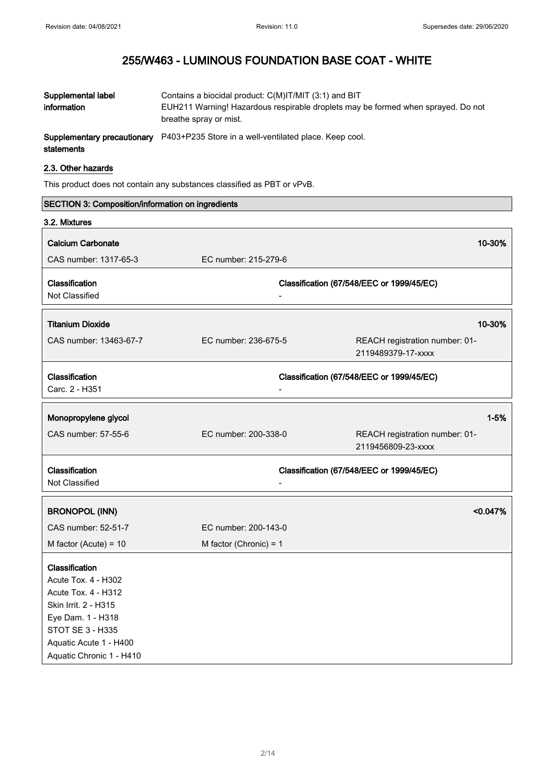$\overline{\phantom{0}}$ 

# 255/W463 - LUMINOUS FOUNDATION BASE COAT - WHITE

| Supplemental label<br>information         | Contains a biocidal product: C(M)IT/MIT (3:1) and BIT<br>EUH211 Warning! Hazardous respirable droplets may be formed when sprayed. Do not<br>breathe spray or mist. |
|-------------------------------------------|---------------------------------------------------------------------------------------------------------------------------------------------------------------------|
| Supplementary precautionary<br>statements | P403+P235 Store in a well-ventilated place. Keep cool.                                                                                                              |

## 2.3. Other hazards

This product does not contain any substances classified as PBT or vPvB.

| <b>SECTION 3: Composition/information on ingredients</b> |                          |                                                      |  |
|----------------------------------------------------------|--------------------------|------------------------------------------------------|--|
| 3.2. Mixtures                                            |                          |                                                      |  |
| <b>Calcium Carbonate</b>                                 |                          | 10-30%                                               |  |
| CAS number: 1317-65-3                                    | EC number: 215-279-6     |                                                      |  |
|                                                          |                          |                                                      |  |
| Classification                                           |                          | Classification (67/548/EEC or 1999/45/EC)            |  |
| Not Classified                                           |                          |                                                      |  |
|                                                          |                          |                                                      |  |
| <b>Titanium Dioxide</b>                                  |                          | 10-30%                                               |  |
| CAS number: 13463-67-7                                   | EC number: 236-675-5     | REACH registration number: 01-                       |  |
|                                                          |                          | 2119489379-17-xxxx                                   |  |
|                                                          |                          |                                                      |  |
| Classification<br>Carc. 2 - H351                         |                          | Classification (67/548/EEC or 1999/45/EC)            |  |
|                                                          |                          |                                                      |  |
| Monopropylene glycol                                     |                          | $1 - 5%$                                             |  |
|                                                          |                          |                                                      |  |
| CAS number: 57-55-6                                      | EC number: 200-338-0     | REACH registration number: 01-<br>2119456809-23-xxxx |  |
|                                                          |                          |                                                      |  |
| Classification                                           |                          | Classification (67/548/EEC or 1999/45/EC)            |  |
| Not Classified                                           |                          |                                                      |  |
|                                                          |                          |                                                      |  |
| <b>BRONOPOL (INN)</b>                                    |                          | < 0.047%                                             |  |
| CAS number: 52-51-7                                      | EC number: 200-143-0     |                                                      |  |
| M factor (Acute) = $10$                                  | M factor (Chronic) = $1$ |                                                      |  |
|                                                          |                          |                                                      |  |
| Classification<br><b>Acute Tox. 4 - H302</b>             |                          |                                                      |  |
| <b>Acute Tox. 4 - H312</b>                               |                          |                                                      |  |
| Skin Irrit. 2 - H315                                     |                          |                                                      |  |
| Eye Dam. 1 - H318                                        |                          |                                                      |  |
| <b>STOT SE 3 - H335</b>                                  |                          |                                                      |  |
| Aquatic Acute 1 - H400                                   |                          |                                                      |  |
| Aquatic Chronic 1 - H410                                 |                          |                                                      |  |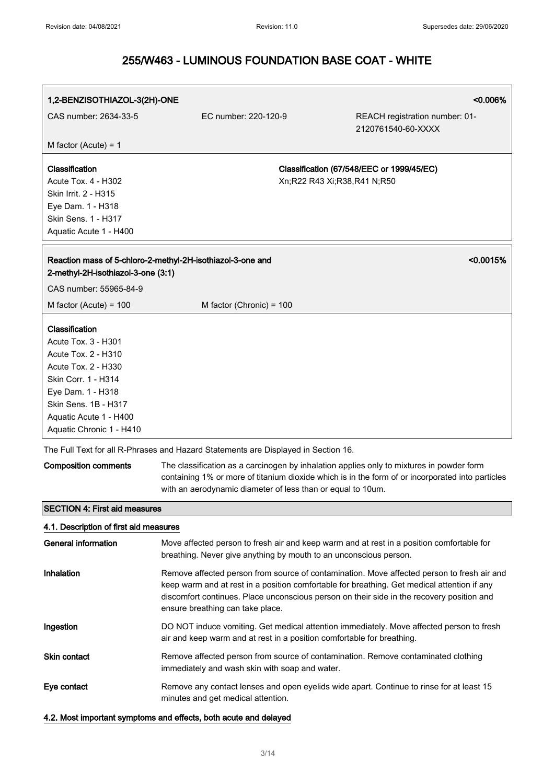| 1,2-BENZISOTHIAZOL-3(2H)-ONE                                                                                                                                                                                                |                                                                                    |                             | <0.006%                                                                                                                                                                                                                                                                                |
|-----------------------------------------------------------------------------------------------------------------------------------------------------------------------------------------------------------------------------|------------------------------------------------------------------------------------|-----------------------------|----------------------------------------------------------------------------------------------------------------------------------------------------------------------------------------------------------------------------------------------------------------------------------------|
| CAS number: 2634-33-5                                                                                                                                                                                                       | EC number: 220-120-9                                                               |                             | REACH registration number: 01-<br>2120761540-60-XXXX                                                                                                                                                                                                                                   |
| M factor (Acute) = $1$                                                                                                                                                                                                      |                                                                                    |                             |                                                                                                                                                                                                                                                                                        |
| Classification<br><b>Acute Tox. 4 - H302</b><br>Skin Irrit. 2 - H315<br>Eye Dam. 1 - H318<br>Skin Sens. 1 - H317<br>Aquatic Acute 1 - H400                                                                                  |                                                                                    | Xn;R22 R43 Xi;R38,R41 N;R50 | Classification (67/548/EEC or 1999/45/EC)                                                                                                                                                                                                                                              |
| 2-methyl-2H-isothiazol-3-one (3:1)                                                                                                                                                                                          | Reaction mass of 5-chloro-2-methyl-2H-isothiazol-3-one and                         |                             | < 0.0015%                                                                                                                                                                                                                                                                              |
| CAS number: 55965-84-9                                                                                                                                                                                                      |                                                                                    |                             |                                                                                                                                                                                                                                                                                        |
| M factor (Acute) = $100$                                                                                                                                                                                                    | M factor (Chronic) = 100                                                           |                             |                                                                                                                                                                                                                                                                                        |
| Classification<br><b>Acute Tox. 3 - H301</b><br><b>Acute Tox. 2 - H310</b><br>Acute Tox. 2 - H330<br>Skin Corr. 1 - H314<br>Eye Dam. 1 - H318<br>Skin Sens, 1B - H317<br>Aquatic Acute 1 - H400<br>Aquatic Chronic 1 - H410 |                                                                                    |                             |                                                                                                                                                                                                                                                                                        |
|                                                                                                                                                                                                                             | The Full Text for all R-Phrases and Hazard Statements are Displayed in Section 16. |                             |                                                                                                                                                                                                                                                                                        |
| <b>Composition comments</b>                                                                                                                                                                                                 | with an aerodynamic diameter of less than or equal to 10um.                        |                             | The classification as a carcinogen by inhalation applies only to mixtures in powder form<br>containing 1% or more of titanium dioxide which is in the form of or incorporated into particles                                                                                           |
| <b>SECTION 4: First aid measures</b>                                                                                                                                                                                        |                                                                                    |                             |                                                                                                                                                                                                                                                                                        |
| 4.1. Description of first aid measures                                                                                                                                                                                      |                                                                                    |                             |                                                                                                                                                                                                                                                                                        |
| <b>General information</b>                                                                                                                                                                                                  | breathing. Never give anything by mouth to an unconscious person.                  |                             | Move affected person to fresh air and keep warm and at rest in a position comfortable for                                                                                                                                                                                              |
| Inhalation                                                                                                                                                                                                                  | ensure breathing can take place.                                                   |                             | Remove affected person from source of contamination. Move affected person to fresh air and<br>keep warm and at rest in a position comfortable for breathing. Get medical attention if any<br>discomfort continues. Place unconscious person on their side in the recovery position and |
| Ingestion                                                                                                                                                                                                                   | air and keep warm and at rest in a position comfortable for breathing.             |                             | DO NOT induce vomiting. Get medical attention immediately. Move affected person to fresh                                                                                                                                                                                               |
| <b>Skin contact</b>                                                                                                                                                                                                         | immediately and wash skin with soap and water.                                     |                             | Remove affected person from source of contamination. Remove contaminated clothing                                                                                                                                                                                                      |
| Eye contact                                                                                                                                                                                                                 | minutes and get medical attention.                                                 |                             | Remove any contact lenses and open eyelids wide apart. Continue to rinse for at least 15                                                                                                                                                                                               |
| 4.2. Most important symptoms and effects, both acute and delayed                                                                                                                                                            |                                                                                    |                             |                                                                                                                                                                                                                                                                                        |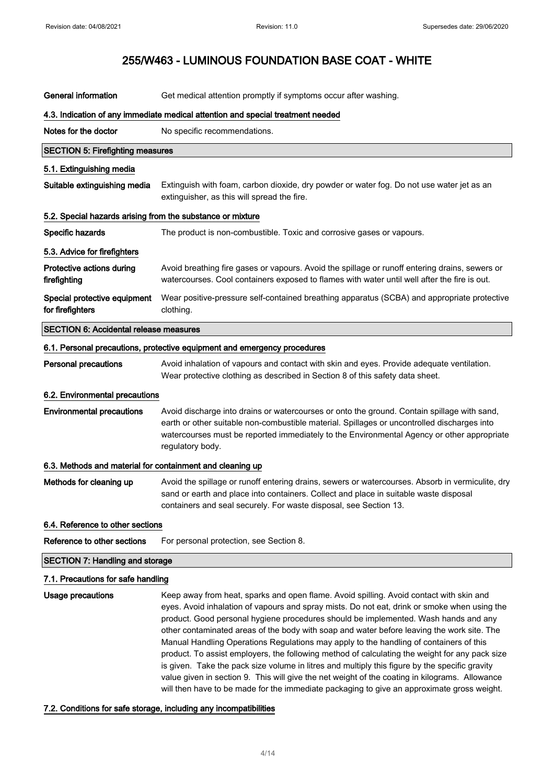| <b>General information</b>                                                      | Get medical attention promptly if symptoms occur after washing.                                                                                                                                                                                                                                                                                                                                                                                                                                                                                                                                                                                                                                                                                                                                                                                                            |  |  |
|---------------------------------------------------------------------------------|----------------------------------------------------------------------------------------------------------------------------------------------------------------------------------------------------------------------------------------------------------------------------------------------------------------------------------------------------------------------------------------------------------------------------------------------------------------------------------------------------------------------------------------------------------------------------------------------------------------------------------------------------------------------------------------------------------------------------------------------------------------------------------------------------------------------------------------------------------------------------|--|--|
| 4.3. Indication of any immediate medical attention and special treatment needed |                                                                                                                                                                                                                                                                                                                                                                                                                                                                                                                                                                                                                                                                                                                                                                                                                                                                            |  |  |
| Notes for the doctor                                                            | No specific recommendations.                                                                                                                                                                                                                                                                                                                                                                                                                                                                                                                                                                                                                                                                                                                                                                                                                                               |  |  |
| <b>SECTION 5: Firefighting measures</b>                                         |                                                                                                                                                                                                                                                                                                                                                                                                                                                                                                                                                                                                                                                                                                                                                                                                                                                                            |  |  |
| 5.1. Extinguishing media                                                        |                                                                                                                                                                                                                                                                                                                                                                                                                                                                                                                                                                                                                                                                                                                                                                                                                                                                            |  |  |
| Suitable extinguishing media                                                    | Extinguish with foam, carbon dioxide, dry powder or water fog. Do not use water jet as an<br>extinguisher, as this will spread the fire.                                                                                                                                                                                                                                                                                                                                                                                                                                                                                                                                                                                                                                                                                                                                   |  |  |
| 5.2. Special hazards arising from the substance or mixture                      |                                                                                                                                                                                                                                                                                                                                                                                                                                                                                                                                                                                                                                                                                                                                                                                                                                                                            |  |  |
| Specific hazards                                                                | The product is non-combustible. Toxic and corrosive gases or vapours.                                                                                                                                                                                                                                                                                                                                                                                                                                                                                                                                                                                                                                                                                                                                                                                                      |  |  |
| 5.3. Advice for firefighters                                                    |                                                                                                                                                                                                                                                                                                                                                                                                                                                                                                                                                                                                                                                                                                                                                                                                                                                                            |  |  |
| Protective actions during<br>firefighting                                       | Avoid breathing fire gases or vapours. Avoid the spillage or runoff entering drains, sewers or<br>watercourses. Cool containers exposed to flames with water until well after the fire is out.                                                                                                                                                                                                                                                                                                                                                                                                                                                                                                                                                                                                                                                                             |  |  |
| Special protective equipment<br>for firefighters                                | Wear positive-pressure self-contained breathing apparatus (SCBA) and appropriate protective<br>clothing.                                                                                                                                                                                                                                                                                                                                                                                                                                                                                                                                                                                                                                                                                                                                                                   |  |  |
| <b>SECTION 6: Accidental release measures</b>                                   |                                                                                                                                                                                                                                                                                                                                                                                                                                                                                                                                                                                                                                                                                                                                                                                                                                                                            |  |  |
|                                                                                 | 6.1. Personal precautions, protective equipment and emergency procedures                                                                                                                                                                                                                                                                                                                                                                                                                                                                                                                                                                                                                                                                                                                                                                                                   |  |  |
| <b>Personal precautions</b>                                                     | Avoid inhalation of vapours and contact with skin and eyes. Provide adequate ventilation.<br>Wear protective clothing as described in Section 8 of this safety data sheet.                                                                                                                                                                                                                                                                                                                                                                                                                                                                                                                                                                                                                                                                                                 |  |  |
| 6.2. Environmental precautions                                                  |                                                                                                                                                                                                                                                                                                                                                                                                                                                                                                                                                                                                                                                                                                                                                                                                                                                                            |  |  |
| <b>Environmental precautions</b>                                                | Avoid discharge into drains or watercourses or onto the ground. Contain spillage with sand,<br>earth or other suitable non-combustible material. Spillages or uncontrolled discharges into<br>watercourses must be reported immediately to the Environmental Agency or other appropriate<br>regulatory body.                                                                                                                                                                                                                                                                                                                                                                                                                                                                                                                                                               |  |  |
| 6.3. Methods and material for containment and cleaning up                       |                                                                                                                                                                                                                                                                                                                                                                                                                                                                                                                                                                                                                                                                                                                                                                                                                                                                            |  |  |
| Methods for cleaning up                                                         | Avoid the spillage or runoff entering drains, sewers or watercourses. Absorb in vermiculite, dry<br>sand or earth and place into containers. Collect and place in suitable waste disposal<br>containers and seal securely. For waste disposal, see Section 13.                                                                                                                                                                                                                                                                                                                                                                                                                                                                                                                                                                                                             |  |  |
| 6.4. Reference to other sections                                                |                                                                                                                                                                                                                                                                                                                                                                                                                                                                                                                                                                                                                                                                                                                                                                                                                                                                            |  |  |
| Reference to other sections                                                     | For personal protection, see Section 8.                                                                                                                                                                                                                                                                                                                                                                                                                                                                                                                                                                                                                                                                                                                                                                                                                                    |  |  |
| <b>SECTION 7: Handling and storage</b>                                          |                                                                                                                                                                                                                                                                                                                                                                                                                                                                                                                                                                                                                                                                                                                                                                                                                                                                            |  |  |
| 7.1. Precautions for safe handling                                              |                                                                                                                                                                                                                                                                                                                                                                                                                                                                                                                                                                                                                                                                                                                                                                                                                                                                            |  |  |
| Usage precautions                                                               | Keep away from heat, sparks and open flame. Avoid spilling. Avoid contact with skin and<br>eyes. Avoid inhalation of vapours and spray mists. Do not eat, drink or smoke when using the<br>product. Good personal hygiene procedures should be implemented. Wash hands and any<br>other contaminated areas of the body with soap and water before leaving the work site. The<br>Manual Handling Operations Regulations may apply to the handling of containers of this<br>product. To assist employers, the following method of calculating the weight for any pack size<br>is given. Take the pack size volume in litres and multiply this figure by the specific gravity<br>value given in section 9. This will give the net weight of the coating in kilograms. Allowance<br>will then have to be made for the immediate packaging to give an approximate gross weight. |  |  |

## 7.2. Conditions for safe storage, including any incompatibilities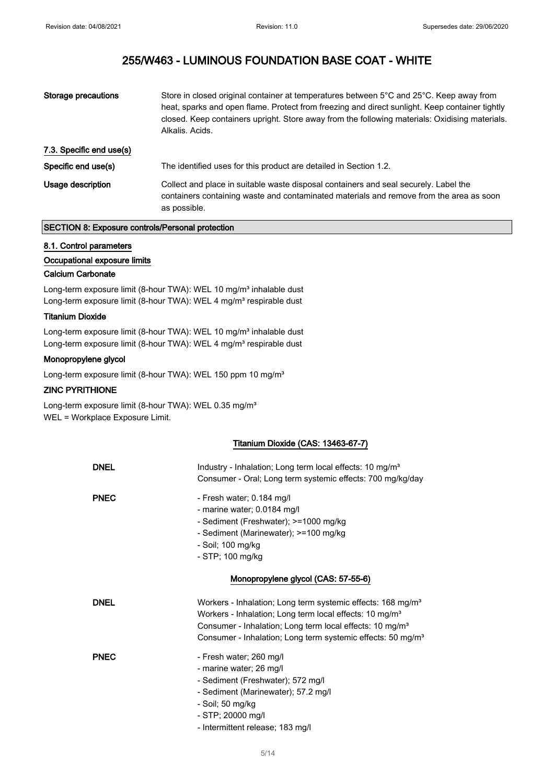| Storage precautions      | Store in closed original container at temperatures between 5°C and 25°C. Keep away from<br>heat, sparks and open flame. Protect from freezing and direct sunlight. Keep container tightly<br>closed. Keep containers upright. Store away from the following materials: Oxidising materials.<br>Alkalis, Acids. |
|--------------------------|----------------------------------------------------------------------------------------------------------------------------------------------------------------------------------------------------------------------------------------------------------------------------------------------------------------|
| 7.3. Specific end use(s) |                                                                                                                                                                                                                                                                                                                |
| Specific end use(s)      | The identified uses for this product are detailed in Section 1.2.                                                                                                                                                                                                                                              |
| Usage description        | Collect and place in suitable waste disposal containers and seal securely. Label the<br>containers containing waste and contaminated materials and remove from the area as soon<br>as possible.                                                                                                                |

## SECTION 8: Exposure controls/Personal protection

### 8.1. Control parameters

#### Occupational exposure limits

#### Calcium Carbonate

Long-term exposure limit (8-hour TWA): WEL 10 mg/m<sup>3</sup> inhalable dust Long-term exposure limit (8-hour TWA): WEL 4 mg/m<sup>3</sup> respirable dust

#### Titanium Dioxide

Long-term exposure limit (8-hour TWA): WEL 10 mg/m<sup>3</sup> inhalable dust Long-term exposure limit (8-hour TWA): WEL 4 mg/m<sup>3</sup> respirable dust

### Monopropylene glycol

Long-term exposure limit (8-hour TWA): WEL 150 ppm 10 mg/m<sup>3</sup>

### ZINC PYRITHIONE

Long-term exposure limit (8-hour TWA): WEL 0.35 mg/m<sup>3</sup> WEL = Workplace Exposure Limit.

### Titanium Dioxide (CAS: 13463-67-7)

| <b>DNEL</b> | Industry - Inhalation; Long term local effects: 10 mg/m <sup>3</sup><br>Consumer - Oral; Long term systemic effects: 700 mg/kg/day                                                                                                                                                                |  |
|-------------|---------------------------------------------------------------------------------------------------------------------------------------------------------------------------------------------------------------------------------------------------------------------------------------------------|--|
| <b>PNEC</b> | - Fresh water; 0.184 mg/l<br>- marine water; 0.0184 mg/l<br>- Sediment (Freshwater); >=1000 mg/kg<br>- Sediment (Marinewater); >=100 mg/kg<br>- Soil; 100 mg/kg<br>- STP; 100 mg/kg                                                                                                               |  |
|             | Monopropylene glycol (CAS: 57-55-6)                                                                                                                                                                                                                                                               |  |
| <b>DNEL</b> | Workers - Inhalation; Long term systemic effects: 168 mg/m <sup>3</sup><br>Workers - Inhalation; Long term local effects: 10 mg/m <sup>3</sup><br>Consumer - Inhalation; Long term local effects: 10 mg/m <sup>3</sup><br>Consumer - Inhalation; Long term systemic effects: 50 mg/m <sup>3</sup> |  |
| <b>PNEC</b> | - Fresh water; 260 mg/l<br>- marine water; 26 mg/l<br>- Sediment (Freshwater); 572 mg/l<br>- Sediment (Marinewater); 57.2 mg/l<br>- Soil; 50 mg/kg<br>- STP; 20000 mg/l<br>- Intermittent release; 183 mg/l                                                                                       |  |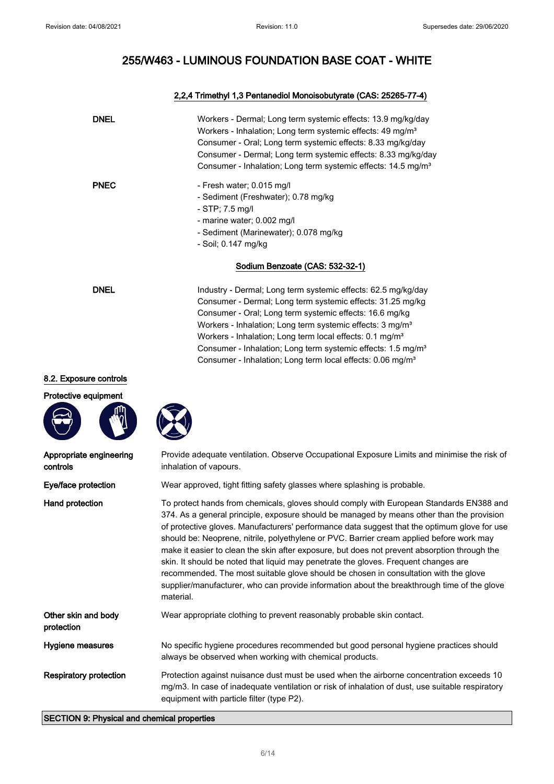## 2,2,4 Trimethyl 1,3 Pentanediol Monoisobutyrate (CAS: 25265-77-4)

| <b>DNEL</b> | Workers - Dermal; Long term systemic effects: 13.9 mg/kg/day<br>Workers - Inhalation; Long term systemic effects: 49 mg/m <sup>3</sup><br>Consumer - Oral; Long term systemic effects: 8.33 mg/kg/day<br>Consumer - Dermal; Long term systemic effects: 8.33 mg/kg/day<br>Consumer - Inhalation; Long term systemic effects: 14.5 mg/m <sup>3</sup>                                                                                                                                           |
|-------------|-----------------------------------------------------------------------------------------------------------------------------------------------------------------------------------------------------------------------------------------------------------------------------------------------------------------------------------------------------------------------------------------------------------------------------------------------------------------------------------------------|
| <b>PNEC</b> | - Fresh water; 0.015 mg/l<br>- Sediment (Freshwater); 0.78 mg/kg<br>$-$ STP; 7.5 mg/l<br>- marine water; 0.002 mg/l<br>- Sediment (Marinewater); 0.078 mg/kg<br>- Soil; 0.147 mg/kg<br>Sodium Benzoate (CAS: 532-32-1)                                                                                                                                                                                                                                                                        |
| <b>DNEL</b> | Industry - Dermal; Long term systemic effects: 62.5 mg/kg/day<br>Consumer - Dermal; Long term systemic effects: 31.25 mg/kg<br>Consumer - Oral; Long term systemic effects: 16.6 mg/kg<br>Workers - Inhalation; Long term systemic effects: 3 mg/m <sup>3</sup><br>Workers - Inhalation; Long term local effects: 0.1 mg/m <sup>3</sup><br>Consumer - Inhalation; Long term systemic effects: 1.5 mg/m <sup>3</sup><br>Consumer - Inhalation; Long term local effects: 0.06 mg/m <sup>3</sup> |

### 8.2. Exposure controls

Protective equipment





| Appropriate engineering<br>controls | Provide adequate ventilation. Observe Occupational Exposure Limits and minimise the risk of<br>inhalation of vapours.                                                                                                                                                                                                                                                                                                                                                                                                                                                                                                                                                                                                                                                       |
|-------------------------------------|-----------------------------------------------------------------------------------------------------------------------------------------------------------------------------------------------------------------------------------------------------------------------------------------------------------------------------------------------------------------------------------------------------------------------------------------------------------------------------------------------------------------------------------------------------------------------------------------------------------------------------------------------------------------------------------------------------------------------------------------------------------------------------|
| Eye/face protection                 | Wear approved, tight fitting safety glasses where splashing is probable.                                                                                                                                                                                                                                                                                                                                                                                                                                                                                                                                                                                                                                                                                                    |
| Hand protection                     | To protect hands from chemicals, gloves should comply with European Standards EN388 and<br>374. As a general principle, exposure should be managed by means other than the provision<br>of protective gloves. Manufacturers' performance data suggest that the optimum glove for use<br>should be: Neoprene, nitrile, polyethylene or PVC. Barrier cream applied before work may<br>make it easier to clean the skin after exposure, but does not prevent absorption through the<br>skin. It should be noted that liquid may penetrate the gloves. Frequent changes are<br>recommended. The most suitable glove should be chosen in consultation with the glove<br>supplier/manufacturer, who can provide information about the breakthrough time of the glove<br>material. |
| Other skin and body<br>protection   | Wear appropriate clothing to prevent reasonably probable skin contact.                                                                                                                                                                                                                                                                                                                                                                                                                                                                                                                                                                                                                                                                                                      |
| Hygiene measures                    | No specific hygiene procedures recommended but good personal hygiene practices should<br>always be observed when working with chemical products.                                                                                                                                                                                                                                                                                                                                                                                                                                                                                                                                                                                                                            |
| <b>Respiratory protection</b>       | Protection against nuisance dust must be used when the airborne concentration exceeds 10<br>mg/m3. In case of inadequate ventilation or risk of inhalation of dust, use suitable respiratory<br>equipment with particle filter (type P2).                                                                                                                                                                                                                                                                                                                                                                                                                                                                                                                                   |

## SECTION 9: Physical and chemical properties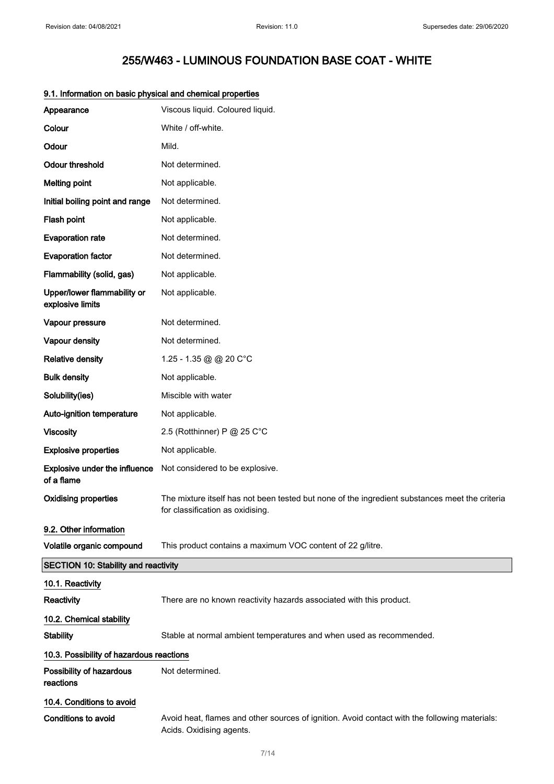| Appearance                                      | Viscous liquid. Coloured liquid.                                                                                                   |
|-------------------------------------------------|------------------------------------------------------------------------------------------------------------------------------------|
| Colour                                          | White / off-white.                                                                                                                 |
| Odour                                           | Mild.                                                                                                                              |
| <b>Odour threshold</b>                          | Not determined.                                                                                                                    |
| <b>Melting point</b>                            | Not applicable.                                                                                                                    |
| Initial boiling point and range                 | Not determined.                                                                                                                    |
| Flash point                                     | Not applicable.                                                                                                                    |
| <b>Evaporation rate</b>                         | Not determined.                                                                                                                    |
| <b>Evaporation factor</b>                       | Not determined.                                                                                                                    |
| Flammability (solid, gas)                       | Not applicable.                                                                                                                    |
| Upper/lower flammability or<br>explosive limits | Not applicable.                                                                                                                    |
| Vapour pressure                                 | Not determined.                                                                                                                    |
| Vapour density                                  | Not determined.                                                                                                                    |
| <b>Relative density</b>                         | 1.25 - 1.35 @ @ 20 C°C                                                                                                             |
| <b>Bulk density</b>                             | Not applicable.                                                                                                                    |
| Solubility(ies)                                 | Miscible with water                                                                                                                |
| Auto-ignition temperature                       | Not applicable.                                                                                                                    |
| <b>Viscosity</b>                                | 2.5 (Rotthinner) P @ 25 C°C                                                                                                        |
| <b>Explosive properties</b>                     | Not applicable.                                                                                                                    |
| Explosive under the influence<br>of a flame     | Not considered to be explosive.                                                                                                    |
| <b>Oxidising properties</b>                     | The mixture itself has not been tested but none of the ingredient substances meet the criteria<br>for classification as oxidising. |
| 9.2. Other information                          |                                                                                                                                    |
| Volatile organic compound                       | This product contains a maximum VOC content of 22 g/litre.                                                                         |
| <b>SECTION 10: Stability and reactivity</b>     |                                                                                                                                    |
| 10.1. Reactivity                                |                                                                                                                                    |
| Reactivity                                      | There are no known reactivity hazards associated with this product.                                                                |
| 10.2. Chemical stability                        |                                                                                                                                    |
| <b>Stability</b>                                | Stable at normal ambient temperatures and when used as recommended.                                                                |
| 10.3. Possibility of hazardous reactions        |                                                                                                                                    |
| Possibility of hazardous<br>reactions           | Not determined.                                                                                                                    |
| 10.4. Conditions to avoid                       |                                                                                                                                    |
| <b>Conditions to avoid</b>                      | Avoid heat, flames and other sources of ignition. Avoid contact with the following materials:<br>Acids. Oxidising agents.          |

## 9.1. Information on basic physical and chemical properties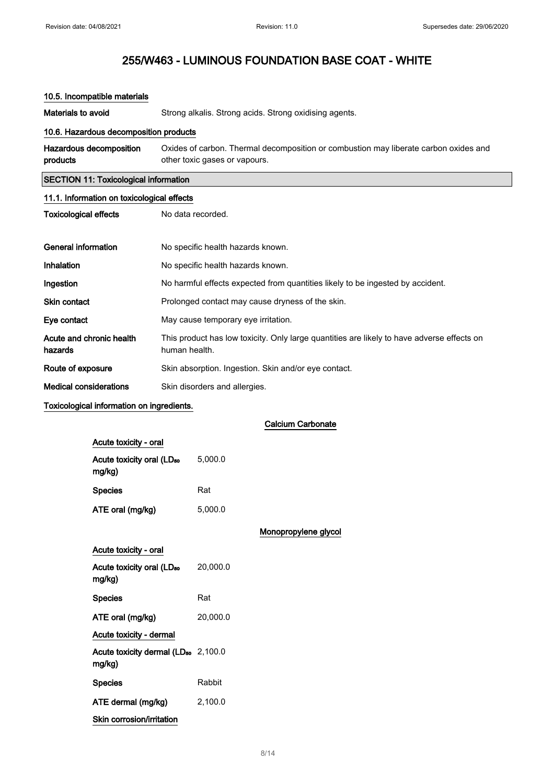| 10.5. Incompatible materials                 |                                                                                                                       |  |  |
|----------------------------------------------|-----------------------------------------------------------------------------------------------------------------------|--|--|
| Materials to avoid                           | Strong alkalis. Strong acids. Strong oxidising agents.                                                                |  |  |
| 10.6. Hazardous decomposition products       |                                                                                                                       |  |  |
| Hazardous decomposition<br>products          | Oxides of carbon. Thermal decomposition or combustion may liberate carbon oxides and<br>other toxic gases or vapours. |  |  |
| <b>SECTION 11: Toxicological information</b> |                                                                                                                       |  |  |
| 11.1. Information on toxicological effects   |                                                                                                                       |  |  |
| <b>Toxicological effects</b>                 | No data recorded.                                                                                                     |  |  |
|                                              |                                                                                                                       |  |  |
| General information                          | No specific health hazards known.                                                                                     |  |  |
| Inhalation                                   | No specific health hazards known.                                                                                     |  |  |
| Ingestion                                    | No harmful effects expected from quantities likely to be ingested by accident.                                        |  |  |
| <b>Skin contact</b>                          | Prolonged contact may cause dryness of the skin.                                                                      |  |  |
| Eye contact                                  | May cause temporary eye irritation.                                                                                   |  |  |
| Acute and chronic health<br>hazards          | This product has low toxicity. Only large quantities are likely to have adverse effects on<br>human health.           |  |  |
| Route of exposure                            | Skin absorption. Ingestion. Skin and/or eye contact.                                                                  |  |  |
| <b>Medical considerations</b>                | Skin disorders and allergies.                                                                                         |  |  |

## Toxicological information on ingredients.

Calcium Carbonate

| Acute toxicity - oral                                     |          |                      |
|-----------------------------------------------------------|----------|----------------------|
| Acute toxicity oral (LD <sub>50</sub><br>mg/kg)           | 5,000.0  |                      |
| <b>Species</b>                                            | Rat      |                      |
| ATE oral (mg/kg)                                          | 5,000.0  |                      |
|                                                           |          | Monopropylene glycol |
| Acute toxicity - oral                                     |          |                      |
| Acute toxicity oral (LD <sub>50</sub><br>mg/kg)           | 20,000.0 |                      |
| <b>Species</b>                                            | Rat      |                      |
| ATE oral (mg/kg)                                          | 20,000.0 |                      |
| Acute toxicity - dermal                                   |          |                      |
| Acute toxicity dermal (LD <sub>50</sub> 2,100.0<br>mg/kg) |          |                      |
| <b>Species</b>                                            | Rabbit   |                      |
| ATE dermal (mg/kg)                                        | 2,100.0  |                      |
| Skin corrosion/irritation                                 |          |                      |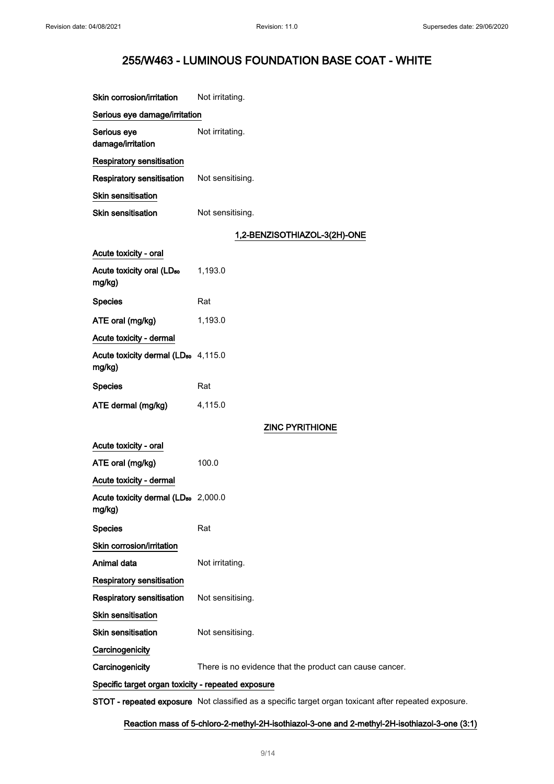| Skin corrosion/irritation                                 | Not irritating.                                                                            |
|-----------------------------------------------------------|--------------------------------------------------------------------------------------------|
| Serious eye damage/irritation                             |                                                                                            |
| Serious eye<br>damage/irritation                          | Not irritating.                                                                            |
| <b>Respiratory sensitisation</b>                          |                                                                                            |
| <b>Respiratory sensitisation</b>                          | Not sensitising.                                                                           |
| Skin sensitisation                                        |                                                                                            |
| <b>Skin sensitisation</b>                                 | Not sensitising.                                                                           |
|                                                           | 1,2-BENZISOTHIAZOL-3(2H)-ONE                                                               |
| Acute toxicity - oral                                     |                                                                                            |
| Acute toxicity oral (LD <sub>50</sub><br>mg/kg)           | 1,193.0                                                                                    |
| <b>Species</b>                                            | Rat                                                                                        |
| ATE oral (mg/kg)                                          | 1,193.0                                                                                    |
| Acute toxicity - dermal                                   |                                                                                            |
| Acute toxicity dermal (LD <sub>50</sub> 4,115.0<br>mg/kg) |                                                                                            |
| <b>Species</b>                                            | Rat                                                                                        |
| ATE dermal (mg/kg)                                        | 4,115.0                                                                                    |
|                                                           | <b>ZINC PYRITHIONE</b>                                                                     |
| Acute toxicity - oral                                     |                                                                                            |
| ATE oral (mg/kg)                                          | 100.0                                                                                      |
| Acute toxicity - dermal                                   |                                                                                            |
| Acute toxicity dermal (LD <sub>50</sub> 2,000.0<br>mg/kg) |                                                                                            |
| <b>Species</b>                                            | Rat                                                                                        |
| Skin corrosion/irritation                                 |                                                                                            |
| Animal data                                               | Not irritating.                                                                            |
| <b>Respiratory sensitisation</b>                          |                                                                                            |
| <b>Respiratory sensitisation</b>                          | Not sensitising.                                                                           |
| <b>Skin sensitisation</b>                                 |                                                                                            |
| <b>Skin sensitisation</b>                                 | Not sensitising.                                                                           |
| Carcinogenicity                                           |                                                                                            |
| Carcinogenicity                                           | There is no evidence that the product can cause cancer.                                    |
| Specific target organ toxicity - repeated exposure        |                                                                                            |
|                                                           | <b>CTOT</b> reported compasses. Not elegatively as a consider toward expendictional effect |

STOT - repeated exposure Not classified as a specific target organ toxicant after repeated exposure.

Reaction mass of 5-chloro-2-methyl-2H-isothiazol-3-one and 2-methyl-2H-isothiazol-3-one (3:1)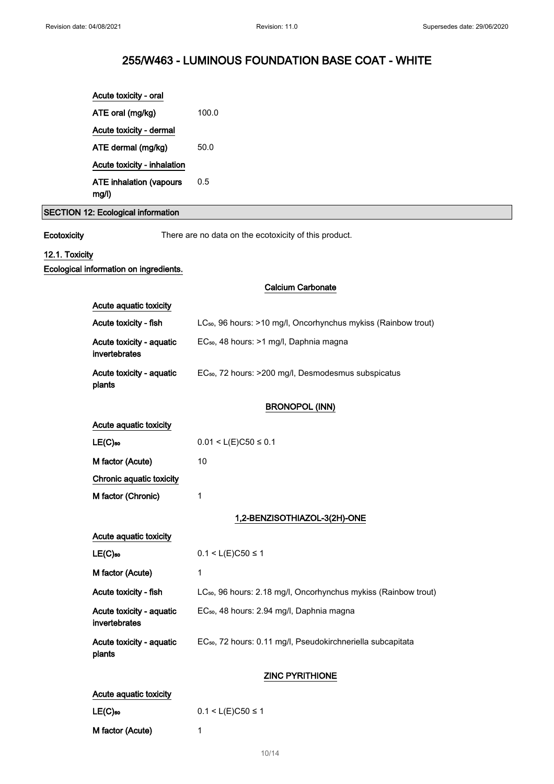|                | Acute toxicity - oral                     |                                                                             |
|----------------|-------------------------------------------|-----------------------------------------------------------------------------|
|                | ATE oral (mg/kg)                          | 100.0                                                                       |
|                | Acute toxicity - dermal                   |                                                                             |
|                | ATE dermal (mg/kg)                        | 50.0                                                                        |
|                | Acute toxicity - inhalation               |                                                                             |
|                | <b>ATE inhalation (vapours</b><br>mg/l)   | 0.5                                                                         |
|                | SECTION 12: Ecological information        |                                                                             |
|                |                                           |                                                                             |
| Ecotoxicity    |                                           | There are no data on the ecotoxicity of this product.                       |
| 12.1. Toxicity |                                           |                                                                             |
|                | Ecological information on ingredients.    |                                                                             |
|                |                                           | <b>Calcium Carbonate</b>                                                    |
|                | Acute aquatic toxicity                    |                                                                             |
|                | Acute toxicity - fish                     | LC <sub>50</sub> , 96 hours: >10 mg/l, Oncorhynchus mykiss (Rainbow trout)  |
|                | Acute toxicity - aquatic<br>invertebrates | EC <sub>50</sub> , 48 hours: >1 mg/l, Daphnia magna                         |
|                | Acute toxicity - aquatic<br>plants        | EC <sub>50</sub> , 72 hours: >200 mg/l, Desmodesmus subspicatus             |
|                |                                           | <b>BRONOPOL (INN)</b>                                                       |
|                | Acute aquatic toxicity                    |                                                                             |
|                | $LE(C)$ 50                                | $0.01 < L(E)C50 \le 0.1$                                                    |
|                | M factor (Acute)                          | 10                                                                          |
|                | Chronic aquatic toxicity                  |                                                                             |
|                | M factor (Chronic)                        | 1                                                                           |
|                |                                           | 1,2-BENZISOTHIAZOL-3(2H)-ONE                                                |
|                |                                           |                                                                             |
|                | Acute aquatic toxicity                    |                                                                             |
|                | $LE(C)$ 50                                | $0.1 < L(E)C50 \le 1$                                                       |
|                | M factor (Acute)                          | 1                                                                           |
|                | Acute toxicity - fish                     | LC <sub>50</sub> , 96 hours: 2.18 mg/l, Oncorhynchus mykiss (Rainbow trout) |
|                | Acute toxicity - aquatic<br>invertebrates | EC <sub>50</sub> , 48 hours: 2.94 mg/l, Daphnia magna                       |
|                | Acute toxicity - aquatic<br>plants        | EC <sub>50</sub> , 72 hours: 0.11 mg/l, Pseudokirchneriella subcapitata     |
|                | <b>ZINC PYRITHIONE</b>                    |                                                                             |
|                | Acute aquatic toxicity                    |                                                                             |
|                | $LE(C)$ so                                | $0.1 < L(E)C50 \le 1$                                                       |

M factor (Acute) 1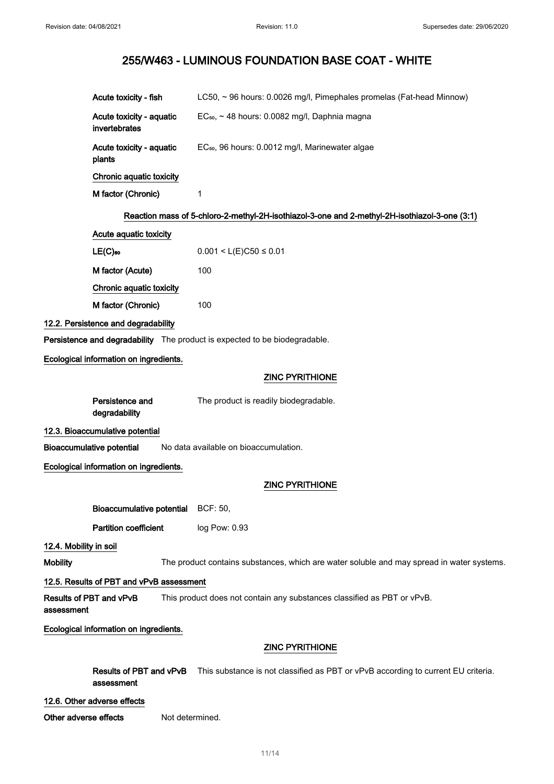| Acute toxicity - fish                     |                 | LC50, ~ 96 hours: 0.0026 mg/l, Pimephales promelas (Fat-head Minnow)                          |
|-------------------------------------------|-----------------|-----------------------------------------------------------------------------------------------|
| Acute toxicity - aquatic<br>invertebrates |                 | EC <sub>50</sub> , ~ 48 hours: 0.0082 mg/l, Daphnia magna                                     |
| Acute toxicity - aquatic<br>plants        |                 | EC <sub>50</sub> , 96 hours: 0.0012 mg/l, Marinewater algae                                   |
| Chronic aquatic toxicity                  |                 |                                                                                               |
| M factor (Chronic)                        |                 | 1                                                                                             |
|                                           |                 | Reaction mass of 5-chloro-2-methyl-2H-isothiazol-3-one and 2-methyl-2H-isothiazol-3-one (3:1) |
| Acute aquatic toxicity                    |                 |                                                                                               |
| $LE(C)$ <sub>50</sub>                     |                 | $0.001 < L(E)C50 \le 0.01$                                                                    |
| M factor (Acute)                          |                 | 100                                                                                           |
| <b>Chronic aquatic toxicity</b>           |                 |                                                                                               |
| M factor (Chronic)                        |                 | 100                                                                                           |
| 12.2. Persistence and degradability       |                 |                                                                                               |
|                                           |                 | Persistence and degradability The product is expected to be biodegradable.                    |
| Ecological information on ingredients.    |                 |                                                                                               |
|                                           |                 | <b>ZINC PYRITHIONE</b>                                                                        |
| Persistence and<br>degradability          |                 | The product is readily biodegradable.                                                         |
| 12.3. Bioaccumulative potential           |                 |                                                                                               |
| <b>Bioaccumulative potential</b>          |                 | No data available on bioaccumulation.                                                         |
| Ecological information on ingredients.    |                 |                                                                                               |
|                                           |                 | <b>ZINC PYRITHIONE</b>                                                                        |
| Bioaccumulative potential BCF: 50         |                 |                                                                                               |
| <b>Partition coefficient</b>              |                 | log Pow: 0.93                                                                                 |
| 12.4. Mobility in soil                    |                 |                                                                                               |
| <b>Mobility</b>                           |                 | The product contains substances, which are water soluble and may spread in water systems.     |
| 12.5. Results of PBT and vPvB assessment  |                 |                                                                                               |
| Results of PBT and vPvB<br>assessment     |                 | This product does not contain any substances classified as PBT or vPvB.                       |
| Ecological information on ingredients.    |                 |                                                                                               |
|                                           |                 | <b>ZINC PYRITHIONE</b>                                                                        |
| Results of PBT and vPvB<br>assessment     |                 | This substance is not classified as PBT or vPvB according to current EU criteria.             |
| 12.6. Other adverse effects               |                 |                                                                                               |
| Other adverse effects                     | Not determined. |                                                                                               |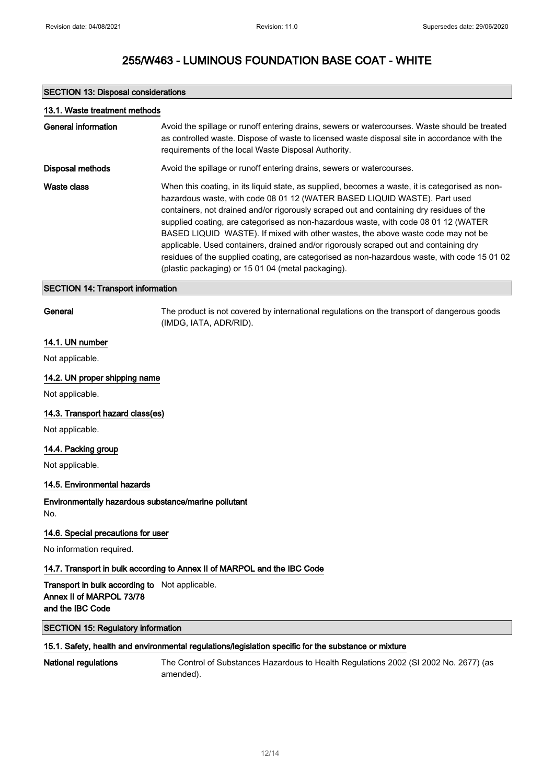### SECTION 13: Disposal considerations

| 13.1. Waste treatment methods |                                                                                                                                                                                                                                                                                                                                                                                                                                                                                                                                                                                                                                                                                                    |
|-------------------------------|----------------------------------------------------------------------------------------------------------------------------------------------------------------------------------------------------------------------------------------------------------------------------------------------------------------------------------------------------------------------------------------------------------------------------------------------------------------------------------------------------------------------------------------------------------------------------------------------------------------------------------------------------------------------------------------------------|
| General information           | Avoid the spillage or runoff entering drains, sewers or watercourses. Waste should be treated<br>as controlled waste. Dispose of waste to licensed waste disposal site in accordance with the<br>requirements of the local Waste Disposal Authority.                                                                                                                                                                                                                                                                                                                                                                                                                                               |
| <b>Disposal methods</b>       | Avoid the spillage or runoff entering drains, sewers or watercourses.                                                                                                                                                                                                                                                                                                                                                                                                                                                                                                                                                                                                                              |
| Waste class                   | When this coating, in its liquid state, as supplied, becomes a waste, it is categorised as non-<br>hazardous waste, with code 08 01 12 (WATER BASED LIQUID WASTE). Part used<br>containers, not drained and/or rigorously scraped out and containing dry residues of the<br>supplied coating, are categorised as non-hazardous waste, with code 08 01 12 (WATER<br>BASED LIQUID WASTE). If mixed with other wastes, the above waste code may not be<br>applicable. Used containers, drained and/or rigorously scraped out and containing dry<br>residues of the supplied coating, are categorised as non-hazardous waste, with code 15 01 02<br>(plastic packaging) or 15 01 04 (metal packaging). |

### SECTION 14: Transport information

General The product is not covered by international regulations on the transport of dangerous goods (IMDG, IATA, ADR/RID).

### 14.1. UN number

Not applicable.

#### 14.2. UN proper shipping name

Not applicable.

### 14.3. Transport hazard class(es)

Not applicable.

### 14.4. Packing group

Not applicable.

### 14.5. Environmental hazards

Environmentally hazardous substance/marine pollutant No.

#### 14.6. Special precautions for user

No information required.

### 14.7. Transport in bulk according to Annex II of MARPOL and the IBC Code

## Transport in bulk according to Not applicable. Annex II of MARPOL 73/78 and the IBC Code

SECTION 15: Regulatory information

## 15.1. Safety, health and environmental regulations/legislation specific for the substance or mixture

National regulations The Control of Substances Hazardous to Health Regulations 2002 (SI 2002 No. 2677) (as amended).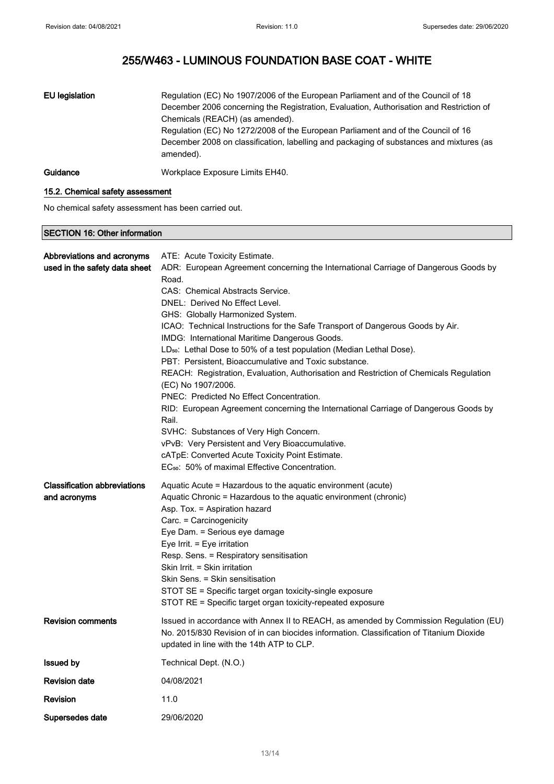| EU legislation | Regulation (EC) No 1907/2006 of the European Parliament and of the Council of 18<br>December 2006 concerning the Registration, Evaluation, Authorisation and Restriction of<br>Chemicals (REACH) (as amended).<br>Regulation (EC) No 1272/2008 of the European Parliament and of the Council of 16<br>December 2008 on classification, labelling and packaging of substances and mixtures (as<br>amended). |
|----------------|------------------------------------------------------------------------------------------------------------------------------------------------------------------------------------------------------------------------------------------------------------------------------------------------------------------------------------------------------------------------------------------------------------|
| Guidance       | Workplace Exposure Limits EH40.                                                                                                                                                                                                                                                                                                                                                                            |

## 15.2. Chemical safety assessment

No chemical safety assessment has been carried out.

## SECTION 16: Other information

| Abbreviations and acronyms<br>used in the safety data sheet | ATE: Acute Toxicity Estimate.<br>ADR: European Agreement concerning the International Carriage of Dangerous Goods by<br>Road.<br>CAS: Chemical Abstracts Service.<br>DNEL: Derived No Effect Level.<br>GHS: Globally Harmonized System.<br>ICAO: Technical Instructions for the Safe Transport of Dangerous Goods by Air.<br>IMDG: International Maritime Dangerous Goods.<br>LD <sub>50</sub> : Lethal Dose to 50% of a test population (Median Lethal Dose).<br>PBT: Persistent, Bioaccumulative and Toxic substance.<br>REACH: Registration, Evaluation, Authorisation and Restriction of Chemicals Regulation |
|-------------------------------------------------------------|-------------------------------------------------------------------------------------------------------------------------------------------------------------------------------------------------------------------------------------------------------------------------------------------------------------------------------------------------------------------------------------------------------------------------------------------------------------------------------------------------------------------------------------------------------------------------------------------------------------------|
|                                                             | (EC) No 1907/2006.<br>PNEC: Predicted No Effect Concentration.<br>RID: European Agreement concerning the International Carriage of Dangerous Goods by<br>Rail.<br>SVHC: Substances of Very High Concern.<br>vPvB: Very Persistent and Very Bioaccumulative.<br>cATpE: Converted Acute Toxicity Point Estimate.<br>EC <sub>50</sub> : 50% of maximal Effective Concentration.                                                                                                                                                                                                                                      |
| <b>Classification abbreviations</b><br>and acronyms         | Aquatic Acute = Hazardous to the aquatic environment (acute)<br>Aquatic Chronic = Hazardous to the aquatic environment (chronic)<br>Asp. Tox. = Aspiration hazard<br>Carc. = Carcinogenicity<br>Eye Dam. = Serious eye damage<br>Eye Irrit. = Eye irritation<br>Resp. Sens. = Respiratory sensitisation<br>Skin Irrit. = Skin irritation<br>Skin Sens. = Skin sensitisation<br>STOT SE = Specific target organ toxicity-single exposure<br>STOT RE = Specific target organ toxicity-repeated exposure                                                                                                             |
| <b>Revision comments</b>                                    | Issued in accordance with Annex II to REACH, as amended by Commission Regulation (EU)<br>No. 2015/830 Revision of in can biocides information. Classification of Titanium Dioxide<br>updated in line with the 14th ATP to CLP.                                                                                                                                                                                                                                                                                                                                                                                    |
| <b>Issued by</b>                                            | Technical Dept. (N.O.)                                                                                                                                                                                                                                                                                                                                                                                                                                                                                                                                                                                            |
| <b>Revision date</b>                                        | 04/08/2021                                                                                                                                                                                                                                                                                                                                                                                                                                                                                                                                                                                                        |
| <b>Revision</b>                                             | 11.0                                                                                                                                                                                                                                                                                                                                                                                                                                                                                                                                                                                                              |
| Supersedes date                                             | 29/06/2020                                                                                                                                                                                                                                                                                                                                                                                                                                                                                                                                                                                                        |